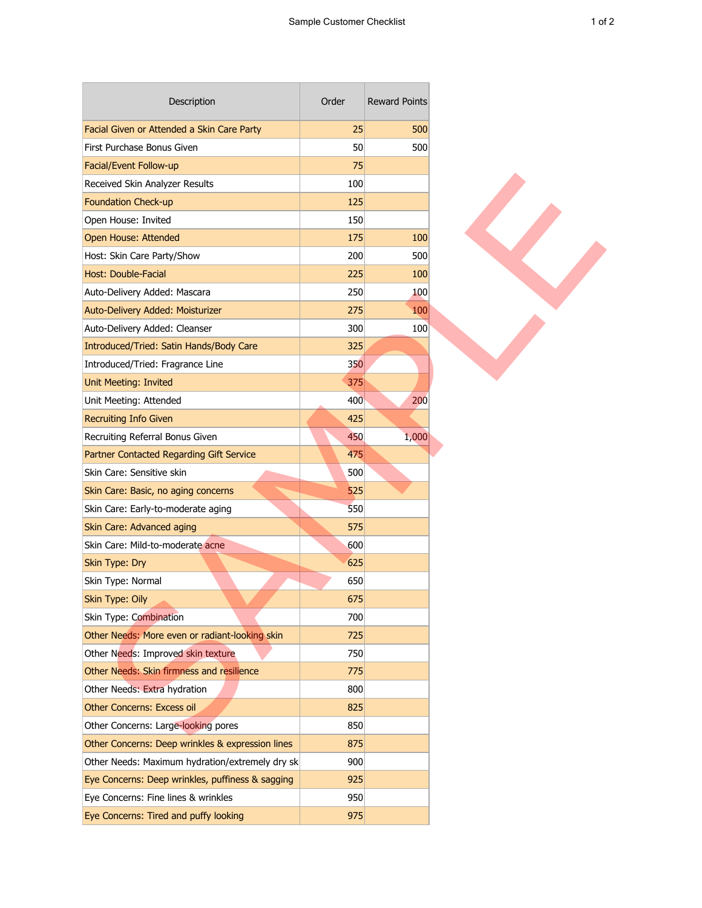т

| Description                                      | Order | <b>Reward Points</b> |
|--------------------------------------------------|-------|----------------------|
| Facial Given or Attended a Skin Care Party       | 25    | 500                  |
| First Purchase Bonus Given                       | 50    | 500                  |
| Facial/Event Follow-up                           | 75    |                      |
| Received Skin Analyzer Results                   | 100   |                      |
| <b>Foundation Check-up</b>                       | 125   |                      |
| Open House: Invited                              | 150   |                      |
| Open House: Attended                             | 175   | 100                  |
| Host: Skin Care Party/Show                       | 200   | 500                  |
| Host: Double-Facial                              | 225   | 100                  |
| Auto-Delivery Added: Mascara                     | 250   | 100                  |
| Auto-Delivery Added: Moisturizer                 | 275   | 100                  |
| Auto-Delivery Added: Cleanser                    | 300   | 100                  |
| Introduced/Tried: Satin Hands/Body Care          | 325   |                      |
| Introduced/Tried: Fragrance Line                 | 350   |                      |
| Unit Meeting: Invited                            | 375   |                      |
| Unit Meeting: Attended                           | 400   | 200                  |
| <b>Recruiting Info Given</b>                     | 425   |                      |
| Recruiting Referral Bonus Given                  | 450   | 1,000                |
| Partner Contacted Regarding Gift Service         | 475   |                      |
| Skin Care: Sensitive skin                        | 500   |                      |
| Skin Care: Basic, no aging concerns              | 525   |                      |
| Skin Care: Early-to-moderate aging               | 550   |                      |
| Skin Care: Advanced aging                        | 575   |                      |
| Skin Care: Mild-to-moderate acne                 | 600   |                      |
| Skin Type: Dry                                   | 625   |                      |
| Skin Type: Normal                                | 650   |                      |
| Skin Type: Oily                                  | 675   |                      |
| Skin Type: Combination                           | 700   |                      |
| Other Needs: More even or radiant-looking skin   | 725   |                      |
| Other Needs: Improved skin texture               | 750   |                      |
| Other Needs: Skin firmness and resilience        | 775   |                      |
| Other Needs: Extra hydration                     | 800   |                      |
| <b>Other Concerns: Excess oil</b>                | 825   |                      |
| Other Concerns: Large-looking pores              | 850   |                      |
| Other Concerns: Deep wrinkles & expression lines | 875   |                      |
| Other Needs: Maximum hydration/extremely dry sk  | 900   |                      |
| Eye Concerns: Deep wrinkles, puffiness & sagging | 925   |                      |
| Eye Concerns: Fine lines & wrinkles              | 950   |                      |
| Eye Concerns: Tired and puffy looking            | 975   |                      |

 $\overline{\phantom{a}}$ 

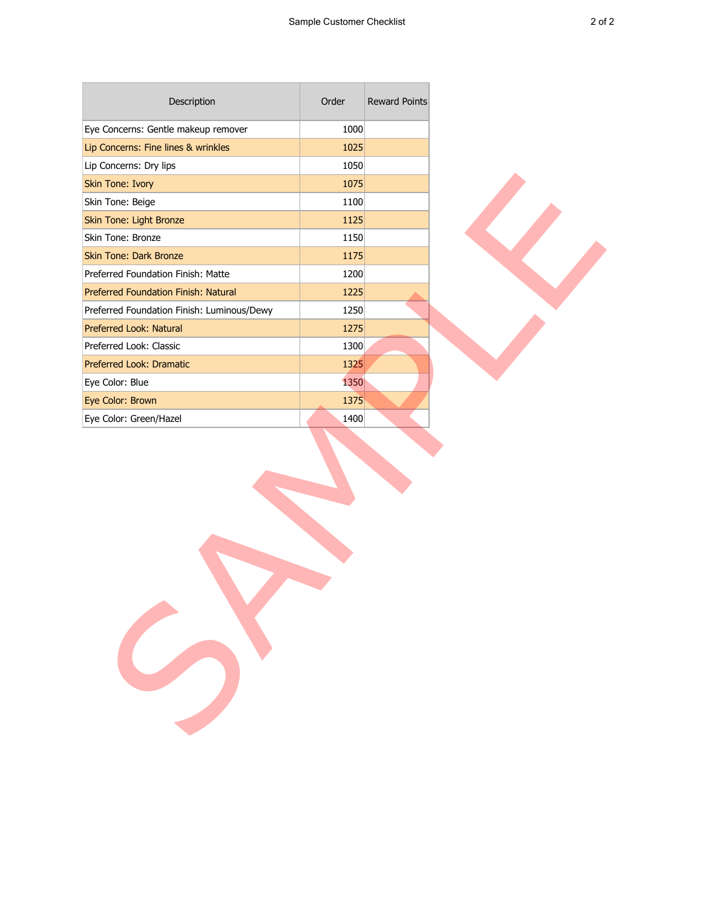| Description                                | Order | Reward Points |  |
|--------------------------------------------|-------|---------------|--|
| Eye Concerns: Gentle makeup remover        | 1000  |               |  |
| Lip Concerns: Fine lines & wrinkles        | 1025  |               |  |
| Lip Concerns: Dry lips                     | 1050  |               |  |
| Skin Tone: Ivory                           | 1075  |               |  |
| Skin Tone: Beige                           | 1100  |               |  |
| Skin Tone: Light Bronze                    | 1125  |               |  |
| Skin Tone: Bronze                          | 1150  |               |  |
| <b>Skin Tone: Dark Bronze</b>              | 1175  |               |  |
| Preferred Foundation Finish: Matte         | 1200  |               |  |
| Preferred Foundation Finish: Natural       | 1225  |               |  |
| Preferred Foundation Finish: Luminous/Dewy | 1250  |               |  |
| Preferred Look: Natural                    | 1275  |               |  |
| Preferred Look: Classic                    | 1300  |               |  |
| Preferred Look: Dramatic                   | 1325  |               |  |
| Eye Color: Blue                            | 1350  |               |  |
| Eye Color: Brown                           | 1375  |               |  |
| Eye Color: Green/Hazel                     | 1400  |               |  |
|                                            |       |               |  |
|                                            |       |               |  |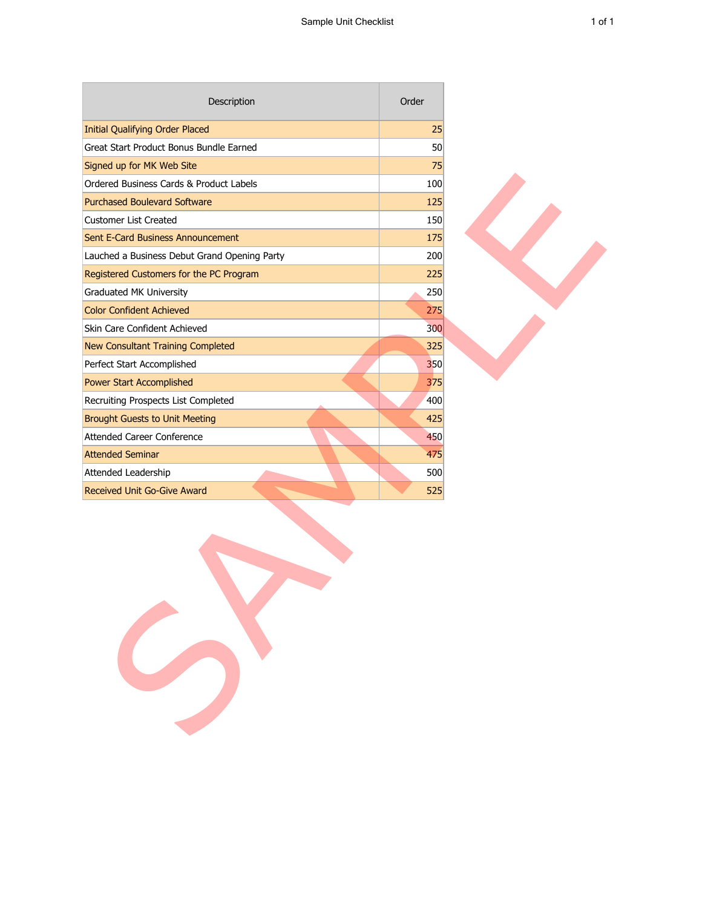| Description                                  | Order |  |
|----------------------------------------------|-------|--|
| <b>Initial Qualifying Order Placed</b>       | 25    |  |
| Great Start Product Bonus Bundle Earned      | 50    |  |
| Signed up for MK Web Site                    | 75    |  |
| Ordered Business Cards & Product Labels      | 100   |  |
| <b>Purchased Boulevard Software</b>          | 125   |  |
| <b>Customer List Created</b>                 | 150   |  |
| Sent E-Card Business Announcement            | 175   |  |
| Lauched a Business Debut Grand Opening Party | 200   |  |
| Registered Customers for the PC Program      | 225   |  |
| Graduated MK University                      | 250   |  |
| <b>Color Confident Achieved</b>              | 275   |  |
| Skin Care Confident Achieved                 | 300   |  |
| New Consultant Training Completed            | 325   |  |
| Perfect Start Accomplished                   | 350   |  |
| Power Start Accomplished                     | 375   |  |
| Recruiting Prospects List Completed          | 400   |  |
| <b>Brought Guests to Unit Meeting</b>        | 425   |  |
| <b>Attended Career Conference</b>            | 450   |  |
| <b>Attended Seminar</b>                      | 475   |  |
| Attended Leadership                          | 500   |  |
| Received Unit Go-Give Award                  | 525   |  |
|                                              |       |  |

T.

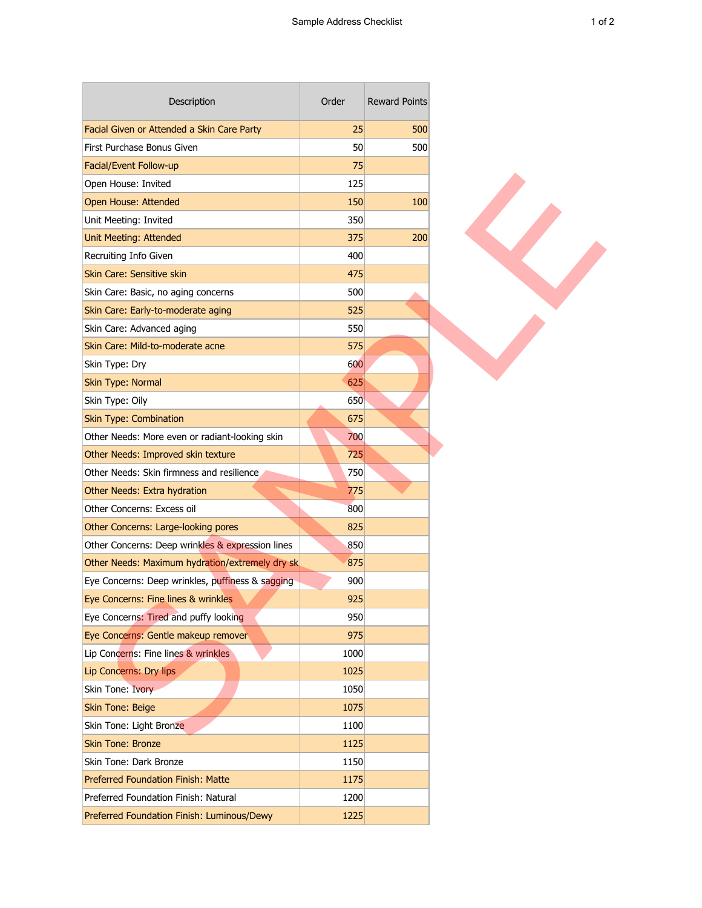| Description                                      | Order | <b>Reward Points</b> |
|--------------------------------------------------|-------|----------------------|
| Facial Given or Attended a Skin Care Party       | 25    | 500                  |
| First Purchase Bonus Given                       | 50    | 500                  |
| Facial/Event Follow-up                           | 75    |                      |
| Open House: Invited                              | 125   |                      |
| Open House: Attended                             | 150   | 100                  |
| Unit Meeting: Invited                            | 350   |                      |
| <b>Unit Meeting: Attended</b>                    | 375   | 200                  |
| Recruiting Info Given                            | 400   |                      |
| Skin Care: Sensitive skin                        | 475   |                      |
| Skin Care: Basic, no aging concerns              | 500   |                      |
| Skin Care: Early-to-moderate aging               | 525   |                      |
| Skin Care: Advanced aging                        | 550   |                      |
| Skin Care: Mild-to-moderate acne                 | 575   |                      |
| Skin Type: Dry                                   | 600   |                      |
| Skin Type: Normal                                | 625   |                      |
| Skin Type: Oily                                  | 650   |                      |
| <b>Skin Type: Combination</b>                    | 675   |                      |
| Other Needs: More even or radiant-looking skin   | 700   |                      |
| Other Needs: Improved skin texture               | 725   |                      |
| Other Needs: Skin firmness and resilience        | 750   |                      |
| Other Needs: Extra hydration                     | 775   |                      |
| Other Concerns: Excess oil                       | 800   |                      |
| Other Concerns: Large-looking pores              | 825   |                      |
| Other Concerns: Deep wrinkles & expression lines | 850   |                      |
| Other Needs: Maximum hydration/extremely dry sk  | 875   |                      |
| Eye Concerns: Deep wrinkles, puffiness & sagging | 900   |                      |
| Eye Concerns: Fine lines & wrinkles              | 925   |                      |
| Eye Concerns: Tired and puffy looking            | 950   |                      |
| Eye Concerns: Gentle makeup remover              | 975   |                      |
| Lip Concerns: Fine lines & wrinkles              | 1000  |                      |
| <b>Lip Concerns: Dry lips</b>                    | 1025  |                      |
| Skin Tone: Ivory                                 | 1050  |                      |
| <b>Skin Tone: Beige</b>                          | 1075  |                      |
| Skin Tone: Light Bronze                          | 1100  |                      |
| <b>Skin Tone: Bronze</b>                         | 1125  |                      |
| Skin Tone: Dark Bronze                           | 1150  |                      |
| Preferred Foundation Finish: Matte               | 1175  |                      |
| Preferred Foundation Finish: Natural             | 1200  |                      |
| Preferred Foundation Finish: Luminous/Dewy       | 1225  |                      |